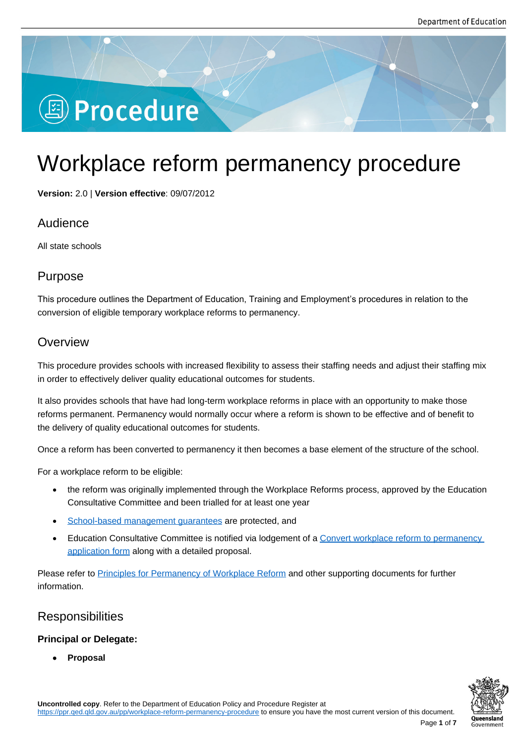# **图 Procedure**

## Workplace reform permanency procedure

**Version:** 2.0 | **Version effective**: 09/07/2012

## Audience

All state schools

## Purpose

This procedure outlines the Department of Education, Training and Employment's procedures in relation to the conversion of eligible temporary workplace reforms to permanency.

## **Overview**

This procedure provides schools with increased flexibility to assess their staffing needs and adjust their staffing mix in order to effectively deliver quality educational outcomes for students.

It also provides schools that have had long-term workplace reforms in place with an opportunity to make those reforms permanent. Permanency would normally occur where a reform is shown to be effective and of benefit to the delivery of quality educational outcomes for students.

Once a reform has been converted to permanency it then becomes a base element of the structure of the school.

For a workplace reform to be eligible:

- the reform was originally implemented through the Workplace Reforms process, approved by the Education Consultative Committee and been trialled for at least one year
- School-based management guarantees are protected, and
- Education Consultative Committee is notified via lodgement of a Convert workplace reform to permanency application form along with a detailed proposal.

Please [refer to Principles for Permanency of Wo](https://ppr.qed.qld.gov.au/attachment/workplace-reform-to-permanency-application-form-and-other-documents.docx)rkplace Reform and other supporting documents for further informa[tion.](https://ppr.qed.qld.gov.au/attachment/workplace-reform-to-permanency-application-form-and-other-documents.docx) 

## Responsib[ilities](https://ppr.qed.qld.gov.au/attachment/principles-for-permanency-of-workplace-reform.docx)

#### **Principal or Delegate:**

**Proposal**



Page **1** of **7**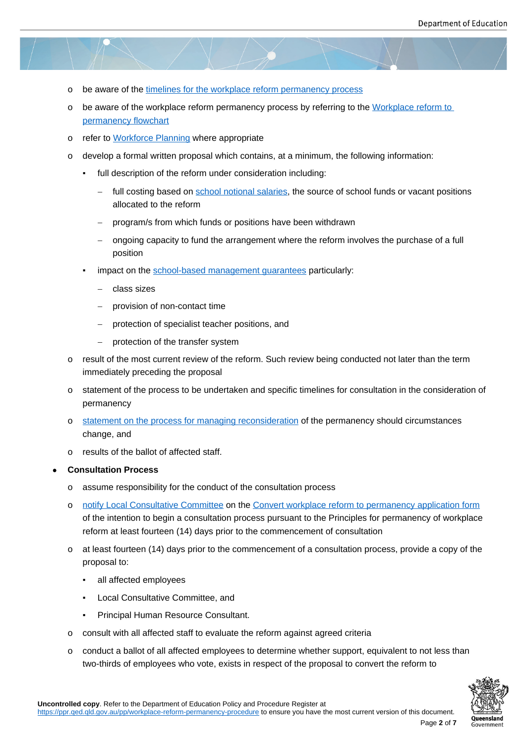- o be aware of the timelines for the workplace reform permanency process
- o be aware of the workplace reform permanency process by referring to the Workplace reform to permanency flowchart
- o refer to Workfor[ce Planning where appropriate](https://ppr.qed.qld.gov.au/attachment/workplace-reform-to-permanency-application-form-and-other-documents.docx)
- o [develop a formal writte](https://ppr.qed.qld.gov.au/attachment/workplace-reform-to-permanency-flowchart.pdf)n proposal which contains, at a minimum, the follo[wing information:](https://ppr.qed.qld.gov.au/attachment/workplace-reform-to-permanency-flowchart.pdf)
	- full [description of the ref](https://ppr.qed.qld.gov.au/attachment/workforce-planning.docx)orm under consideration including:
		- full costing based on school notional salaries, the source of school funds or vacant positions allocated to the reform
		- program/s from which funds or positions have been withdrawn
		- ongoing capacity to f[und the arrangement wh](https://ppr.qed.qld.gov.au/attachment/workplace-reform-to-permanency-application-form-and-other-documents.docx)ere the reform involves the purchase of a full position
	- impact on the school-based management guarantees particularly:
		- class sizes
		- provision [of non-contact time](https://ppr.qed.qld.gov.au/attachment/workplace-reform-to-permanency-application-form-and-other-documents.docx)
		- protection of specialist teacher positions, and
		- protection of the transfer system
- o result of the most current review of the reform. Such review being conducted not later than the term immediately preceding the proposal
- o statement of the process to be undertaken and specific timelines for consultation in the consideration of permanency
- o statement on the process for managing reconsideration of the permanency should circumstances change, and
- o results of the ballot of affected staff.
- **Co[nsultation Process](https://ppr.qed.qld.gov.au/attachment/workplace-reform-to-permanency-application-form-and-other-documents.docx)**
	- o assume responsibility for the conduct of the consultation process
	- o notify Local Consultative Committee on the Convert workplace reform to permanency application form of the intention to begin a consultation process pursuant to the Principles for permanency of workplace reform at least fourteen (14) days prior to the commencement of consultation
	- o [at least fourteen \(14\) days prior to th](https://ppr.qed.qld.gov.au/attachment/workplace-reform-to-permanency-application-form-and-other-documents.docx)e com[mencement of a consultation process, provide a copy of the](https://ppr.qed.qld.gov.au/attachment/workplace-reform-to-permanency-application-form-and-other-documents.docx) proposal to:
		- all affected employees
		- **Local Consultative Committee, and**
		- Principal Human Resource Consultant.
	- o consult with all affected staff to evaluate the reform against agreed criteria
	- $\circ$  conduct a ballot of all affected employees to determine whether support, equivalent to not less than two-thirds of employees who vote, exists in respect of the proposal to convert the reform to

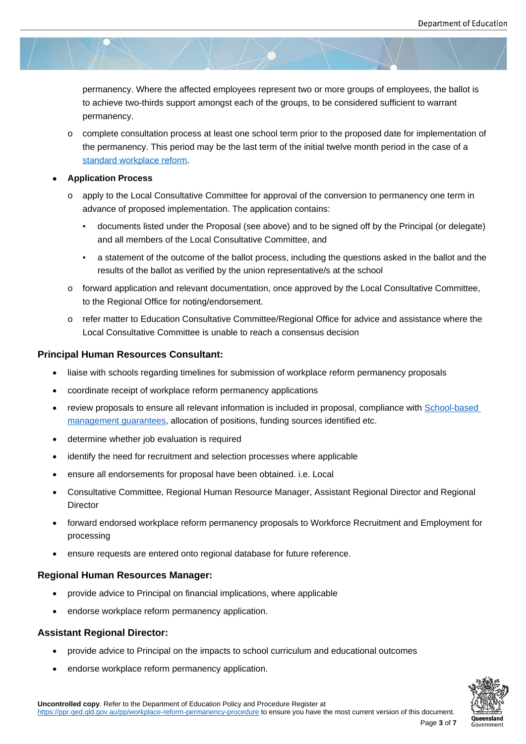permanency. Where the affected employees represent two or more groups of employees, the ballot is to achieve two-thirds support amongst each of the groups, to be considered sufficient to warrant permanency.

o complete consultation process at least one school term prior to the proposed date for implementation of the permanency. This period may be the last term of the initial twelve month period in the case of a standard workplace reform.

#### **Application Process**

- o apply to the Local Consultative Committee for approval of the conversion to permanency one term in [advance of proposed imple](https://ppr.qed.qld.gov.au/attachment/standard-and-non-standard-workplace-reforms.pdf)mentation. The application contains:
	- documents listed under the Proposal (see above) and to be signed off by the Principal (or delegate) and all members of the Local Consultative Committee, and
	- a statement of the outcome of the ballot process, including the questions asked in the ballot and the results of the ballot as verified by the union representative/s at the school
- o forward application and relevant documentation, once approved by the Local Consultative Committee, to the Regional Office for noting/endorsement.
- o refer matter to Education Consultative Committee/Regional Office for advice and assistance where the Local Consultative Committee is unable to reach a consensus decision

#### **Principal Human Resources Consultant:**

- liaise with schools regarding timelines for submission of workplace reform permanency proposals
- coordinate receipt of workplace reform permanency applications
- review proposals to ensure all relevant information is included in proposal, compliance with School-based management guarantees, allocation of positions, funding sources identified etc.
- determine whether job evaluation is required
- [identify the need for recru](https://ppr.qed.qld.gov.au/attachment/workplace-reform-to-permanency-application-form-and-other-documents.docx)itment and selection processes where applicable
- ensure all endorsements for proposal have been obtained. i.e. Local
- Consultative Committee, Regional Human Resource Manager, Assistant Regional Director and Regional **Director**
- forward endorsed workplace reform permanency proposals to Workforce Recruitment and Employment for processing
- ensure requests are entered onto regional database for future reference.

#### **Regional Human Resources Manager:**

- provide advice to Principal on financial implications, where applicable
- endorse workplace reform permanency application.

#### **Assistant Regional Director:**

- provide advice to Principal on the impacts to school curriculum and educational outcomes
- endorse workplace reform permanency application.

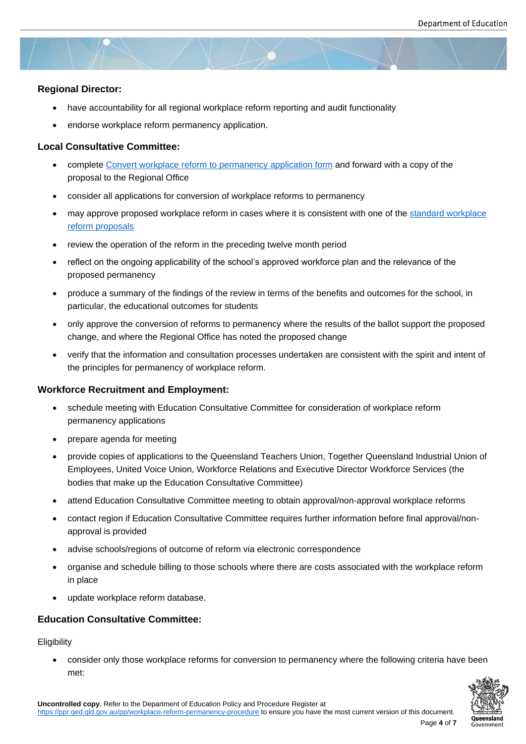#### **Regional Director:**

- have accountability for all regional workplace reform reporting and audit functionality
- endorse workplace reform permanency application.

#### **Local Consultative Committee:**

- complete Convert workplace reform to permanency application form and forward with a copy of the proposal to the Regional Office
- consider all applications for conversion of workplace reforms to permanency
- may appr[ove proposed workplace reform in cases where it is consist](https://ppr.qed.qld.gov.au/attachment/workplace-reform-to-permanency-application-form-and-other-documents.docx)ent with one of the standard workplace reform proposals
- review the operation of the reform in the preceding twelve month period
- reflect on the ongoing applicability of the school's approved workforce plan and the relevance of the [proposed perman](https://ppr.qed.qld.gov.au/attachment/standard-and-non-standard-workplace-reforms.pdf)ency
- produce a summary of the findings of the review in terms of the benefits and outcomes for the school, in particular, the educational outcomes for students
- only approve the conversion of reforms to permanency where the results of the ballot support the proposed change, and where the Regional Office has noted the proposed change
- verify that the information and consultation processes undertaken are consistent with the spirit and intent of the principles for permanency of workplace reform.

#### **Workforce Recruitment and Employment:**

- schedule meeting with Education Consultative Committee for consideration of workplace reform permanency applications
- prepare agenda for meeting
- provide copies of applications to the Queensland Teachers Union, Together Queensland Industrial Union of Employees, United Voice Union, Workforce Relations and Executive Director Workforce Services (the bodies that make up the Education Consultative Committee)
- attend Education Consultative Committee meeting to obtain approval/non-approval workplace reforms
- contact region if Education Consultative Committee requires further information before final approval/nonapproval is provided
- advise schools/regions of outcome of reform via electronic correspondence
- organise and schedule billing to those schools where there are costs associated with the workplace reform in place
- update workplace reform database.

#### **Education Consultative Committee:**

**Eligibility** 

 consider only those workplace reforms for conversion to permanency where the following criteria have been met:

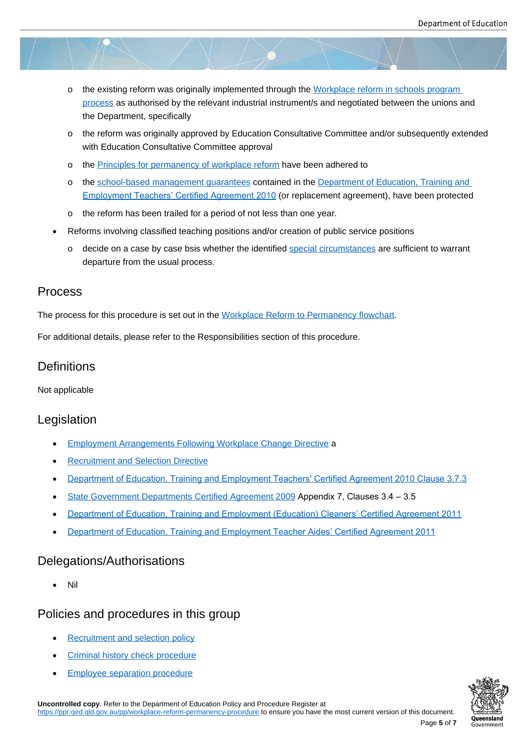- o the existing reform was originally implemented through the Workplace reform in schools program process as authorised by the relevant industrial instrument/s and negotiated between the unions and the Department, specifically
- o the reform was originally approved by Education Consultati[ve Committee and/or subsequently ext](https://ppr.qed.qld.gov.au/attachment/workplace-reform-to-permanency-application-form-and-other-documents.docx)ended [with Edu](https://ppr.qed.qld.gov.au/attachment/workplace-reform-to-permanency-application-form-and-other-documents.docx)cation Consultative Committee approval
- o the Principles for permanency of workplace reform have been adhered to
- o the school-based management guarantees contained in the Department of Education, Training and Employment Teachers' Certified Agreement 2010 (or replacement agreement), have been protected
- o the [reform has been trailed for a period of not less](https://ppr.qed.qld.gov.au/attachment/principles-for-permanency-of-workplace-reform.docx) than one year.
- Ref[orm](http://www.qirc.qld.gov.au/resources/pdf/certified_agreements/cert_agreements/2010/ca2_2010.pdf)[s involving classified teaching positions](https://ppr.qed.qld.gov.au/attachment/workplace-reform-to-permanency-application-form-and-other-documents.docx) [and/or](http://www.qirc.qld.gov.au/resources/pdf/certified_agreements/cert_agreements/2010/ca2_2010.pdf) creation [of public service positions](http://www.qirc.qld.gov.au/resources/pdf/certified_agreements/cert_agreements/2010/ca2_2010.pdf)
	- o decide on a case by case bsis whether the identified special circumstances are sufficient to warrant departure from the usual process.

## Process

The process for this procedure is set out in the Workplace Reform to Permanency flowchart.

For additional details, please refer to the Responsibilities section of this procedure.

## **Definitions**

Not applicable

## Legislation

- **Employment Arrangements Following Workplace Change Directive a**
- Recruitment and Selection Directive
- [Department of Education, Training and Employment Teachers](http://www.psc.qld.gov.au/page/corporate-publications/directive/alphabetical.shtml)' [Cert](http://www.psc.qld.gov.au/page/corporate-publications/directive/alphabetical.shtml)ified Agreement 2010 Clause 3.7.3
- [State Government Departments Cer](http://www.psc.qld.gov.au/page/corporate-publications/directive/alphabetical.shtml)tified Agreement 2009 Appendix 7, Clauses 3.4 3.5
- [Department of Education, Training and Employment \(Education\) Cleaners' Certified Agreement 2011](http://www.qirc.qld.gov.au/resources/pdf/certified_agreements/cert_agreements/2010/ca2_2010.pdf)
- [Department of Education, Training and Employment Teach](http://www.qirc.qld.gov.au/agreement_award/certified_agreements/public_sector.htm)er Aides' Certified Agreement 2011

### Dele[gations/Authorisations](http://www.qirc.qld.gov.au/resources/pdf/certified_agreements/cert_agreements/2009/ca92_2009.pdf)

[Nil](http://www.qirc.qld.gov.au/resources/pdf/certified_agreements/cert_agreements/2008/ca339_2008.pdf)

## Policies and procedures in this group

- Recruitment and selection policy
- Criminal history check procedure
- [Employee separation procedure](https://ppr.qed.qld.gov.au/pp/recruitment-and-selection-policy)

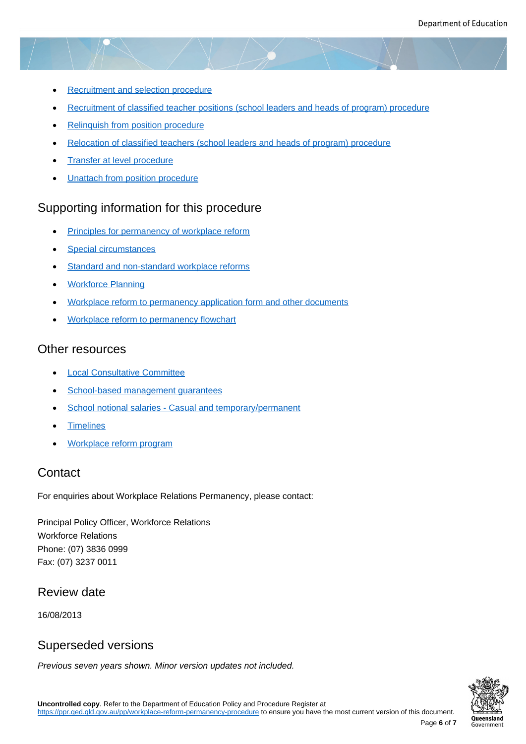- Recruitment and selection procedure
- Recruitment of classified teacher positions (school leaders and heads of program) procedure
- [Relinquish from position procedure](https://ppr.qed.qld.gov.au/pp/recruitment-and-selection-procedure)
- [Relocation of classified teachers \(school leaders and heads of program\) procedure](https://ppr.qed.qld.gov.au/pp/recruitment-of-classified-teacher-positions-school-leaders-and-heads-of-program-procedure)
- [Transfer at level procedure](https://ppr.qed.qld.gov.au/pp/relinquish-from-position-procedure)
- [Unattach from position procedure](https://ppr.qed.qld.gov.au/pp/relocation-of-classified-teachers-school-leaders-and-heads-of-program-procedure)

## Supp[orting information fo](https://ppr.qed.qld.gov.au/pp/transfer-at-level-procedure)r this procedure

- [Principles for permanency of work](https://ppr.qed.qld.gov.au/pp/unattach-from-position-procedure)place reform
- Special circumstances
- **[Standard and non-standard workplace reforms](https://ppr.qed.qld.gov.au/attachment/principles-for-permanency-of-workplace-reform.docx)**
- [Workforce Planning](https://ppr.qed.qld.gov.au/attachment/special-circumstances.docx)
- [Workplace reform to permanency application fo](https://ppr.qed.qld.gov.au/attachment/standard-and-non-standard-workplace-reforms.pdf)rm and other documents
- [Workplace reform to](https://ppr.qed.qld.gov.au/attachment/workforce-planning.docx) permanency flowchart

## Othe[r resources](https://ppr.qed.qld.gov.au/attachment/workplace-reform-to-permanency-application-form-and-other-documents.docx)

- [Local Consultative Committee](https://ppr.qed.qld.gov.au/attachment/workplace-reform-to-permanency-flowchart.pdf)
- School-based management guarantees
- [School notional salaries Casu](https://ppr.qed.qld.gov.au/attachment/workplace-reform-to-permanency-application-form-and-other-documents.docx)al and temporary/permanent
- [Timelines](https://ppr.qed.qld.gov.au/attachment/workplace-reform-to-permanency-application-form-and-other-documents.docx)
- [Workplace reform program](https://ppr.qed.qld.gov.au/attachment/workplace-reform-to-permanency-application-form-and-other-documents.docx)

## **Cont[act](https://ppr.qed.qld.gov.au/attachment/workplace-reform-to-permanency-application-form-and-other-documents.docx)**

For en[quiries about Workplace Rel](https://ppr.qed.qld.gov.au/attachment/workplace-reform-to-permanency-application-form-and-other-documents.docx)ations Permanency, please contact:

Principal Policy Officer, Workforce Relations Workforce Relations Phone: (07) 3836 0999 Fax: (07) 3237 0011

## Review date

16/08/2013

## Superseded versions

*Previous seven years shown. Minor version updates not included.*



Page **6** of **7**